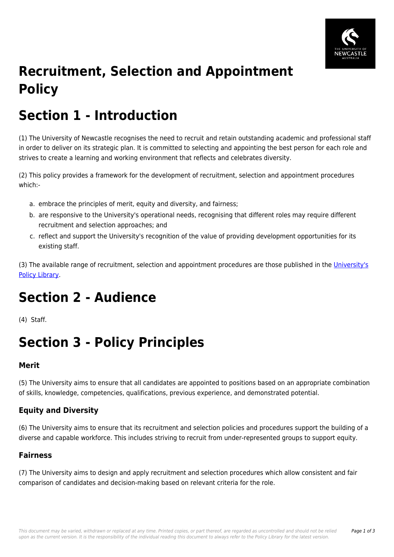

# **Recruitment, Selection and Appointment Policy**

## **Section 1 - Introduction**

(1) The University of Newcastle recognises the need to recruit and retain outstanding academic and professional staff in order to deliver on its strategic plan. It is committed to selecting and appointing the best person for each role and strives to create a learning and working environment that reflects and celebrates diversity.

(2) This policy provides a framework for the development of recruitment, selection and appointment procedures which:-

- a. embrace the principles of merit, equity and diversity, and fairness;
- b. are responsive to the University's operational needs, recognising that different roles may require different recruitment and selection approaches; and
- c. reflect and support the University's recognition of the value of providing development opportunities for its existing staff.

(3) The available range of recruitment, selection and appointment procedures are those published in the [University's](https://policies.newcastle.edu.au/download.php?id=1&version=2&associated) [Policy Library.](https://policies.newcastle.edu.au/download.php?id=1&version=2&associated)

## **Section 2 - Audience**

(4) Staff.

## **Section 3 - Policy Principles**

### **Merit**

(5) The University aims to ensure that all candidates are appointed to positions based on an appropriate combination of skills, knowledge, competencies, qualifications, previous experience, and demonstrated potential.

## **Equity and Diversity**

(6) The University aims to ensure that its recruitment and selection policies and procedures support the building of a diverse and capable workforce. This includes striving to recruit from under-represented groups to support equity.

### **Fairness**

(7) The University aims to design and apply recruitment and selection procedures which allow consistent and fair comparison of candidates and decision-making based on relevant criteria for the role.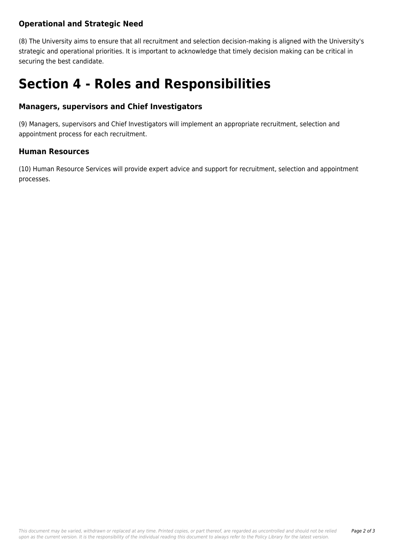## **Operational and Strategic Need**

(8) The University aims to ensure that all recruitment and selection decision-making is aligned with the University's strategic and operational priorities. It is important to acknowledge that timely decision making can be critical in securing the best candidate.

## **Section 4 - Roles and Responsibilities**

### **Managers, supervisors and Chief Investigators**

(9) Managers, supervisors and Chief Investigators will implement an appropriate recruitment, selection and appointment process for each recruitment.

### **Human Resources**

(10) Human Resource Services will provide expert advice and support for recruitment, selection and appointment processes.